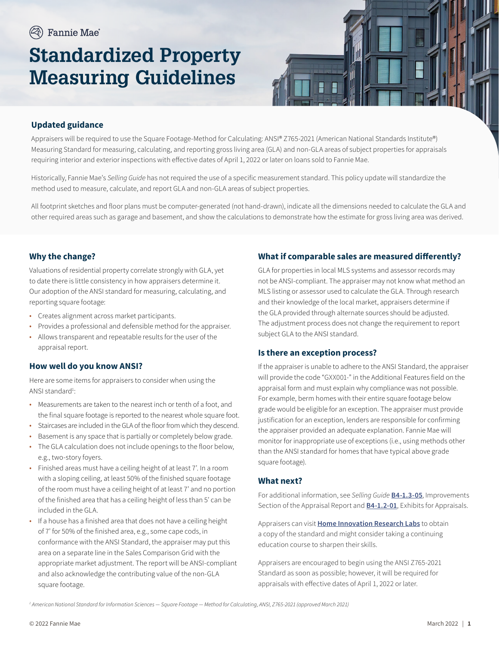# **Standardized Property Measuring Guidelines**



# **Updated guidance**

Appraisers will be required to use the Square Footage-Method for Calculating: ANSI® Z765-2021 (American National Standards Institute®) Measuring Standard for measuring, calculating, and reporting gross living area (GLA) and non-GLA areas of subject properties for appraisals requiring interior and exterior inspections with effective dates of April 1, 2022 or later on loans sold to Fannie Mae.

Historically, Fannie Mae's *Selling Guide* has not required the use of a specific measurement standard. This policy update will standardize the method used to measure, calculate, and report GLA and non-GLA areas of subject properties.

All footprint sketches and floor plans must be computer-generated (not hand-drawn), indicate all the dimensions needed to calculate the GLA and other required areas such as garage and basement, and show the calculations to demonstrate how the estimate for gross living area was derived.

### **Why the change?**

Valuations of residential property correlate strongly with GLA, yet to date there is little consistency in how appraisers determine it. Our adoption of the ANSI standard for measuring, calculating, and reporting square footage:

- Creates alignment across market participants.
- Provides a professional and defensible method for the appraiser.
- Allows transparent and repeatable results for the user of the appraisal report.

#### **How well do you know ANSI?**

Here are some items for appraisers to consider when using the ANSI standard<sup>1</sup>:

- Measurements are taken to the nearest inch or tenth of a foot, and the final square footage is reported to the nearest whole square foot.
- Staircases are included in the GLA of the floor from which they descend.
- Basement is any space that is partially or completely below grade.
- The GLA calculation does not include openings to the floor below, e.g., two-story foyers.
- Finished areas must have a ceiling height of at least 7'. In a room with a sloping ceiling, at least 50% of the finished square footage of the room must have a ceiling height of at least 7' and no portion of the finished area that has a ceiling height of less than 5' can be included in the GLA.
- If a house has a finished area that does not have a ceiling height of 7' for 50% of the finished area, e.g., some cape cods, in conformance with the ANSI Standard, the appraiser may put this area on a separate line in the Sales Comparison Grid with the appropriate market adjustment. The report will be ANSI-compliant and also acknowledge the contributing value of the non-GLA square footage.

#### **What if comparable sales are measured differently?**

GLA for properties in local MLS systems and assessor records may not be ANSI-compliant. The appraiser may not know what method an MLS listing or assessor used to calculate the GLA. Through research and their knowledge of the local market, appraisers determine if the GLA provided through alternate sources should be adjusted. The adjustment process does not change the requirement to report subject GLA to the ANSI standard.

## **Is there an exception process?**

If the appraiser is unable to adhere to the ANSI Standard, the appraiser will provide the code "GXX001-" in the Additional Features field on the appraisal form and must explain why compliance was not possible. For example, berm homes with their entire square footage below grade would be eligible for an exception. The appraiser must provide justification for an exception, lenders are responsible for confirming the appraiser provided an adequate explanation. Fannie Mae will monitor for inappropriate use of exceptions (i.e., using methods other than the ANSI standard for homes that have typical above grade square footage).

#### **What next?**

For additional information, see *Selling Guide* **[B4-1.3-05](https://selling-guide.fanniemae.com/Selling-Guide/Origination-thru-Closing/Subpart-B4-Underwriting-Property/Chapter-B4-1-Appraisal-Requirements/Section-B4-1-3-Appraisal-Report-Assessment/1032992541/B4-1-3-05-Improvements-Section-of-the-Appraisal-Report-09-02-2020.htm)**, Improvements Section of the Appraisal Report and **[B4-1.2-01](https://selling-guide.fanniemae.com/Selling-Guide/Origination-thru-Closing/Subpart-B4-Underwriting-Property/Chapter-B4-1-Appraisal-Requirements/Section-B4-1-2-Documentation-Standards/1032991831/B4-1-2-01-Appraisal-Report-Forms-and-Exhibits-07-03-2019.htm)**, Exhibits for Appraisals.

Appraisers can visit **[Home Innovation Research Labs](https://www.homeinnovation.com/about/bookstore)** to obtain a copy of the standard and might consider taking a continuing education course to sharpen their skills.

Appraisers are encouraged to begin using the ANSI Z765-2021 Standard as soon as possible; however, it will be required for appraisals with effective dates of April 1, 2022 or later.

*1 American National Standard for Information Sciences — Square Footage — Method for Calculating, ANSI, Z765-2021 (approved March 2021)*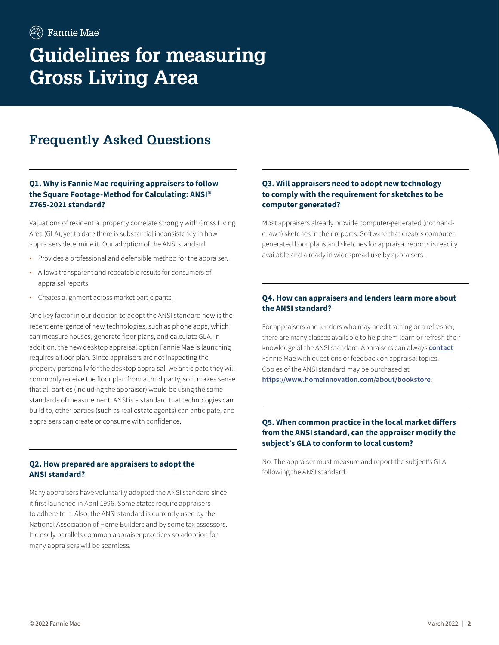# **Frequently Asked Questions**

## **Q1. Why is Fannie Mae requiring appraisers to follow the Square Footage-Method for Calculating: ANSI® Z765-2021 standard?**

Valuations of residential property correlate strongly with Gross Living Area (GLA), yet to date there is substantial inconsistency in how appraisers determine it. Our adoption of the ANSI standard:

- Provides a professional and defensible method for the appraiser.
- Allows transparent and repeatable results for consumers of appraisal reports.
- Creates alignment across market participants.

One key factor in our decision to adopt the ANSI standard now is the recent emergence of new technologies, such as phone apps, which can measure houses, generate floor plans, and calculate GLA. In addition, the new desktop appraisal option Fannie Mae is launching requires a floor plan. Since appraisers are not inspecting the property personally for the desktop appraisal, we anticipate they will commonly receive the floor plan from a third party, so it makes sense that all parties (including the appraiser) would be using the same standards of measurement. ANSI is a standard that technologies can build to, other parties (such as real estate agents) can anticipate, and appraisers can create or consume with confidence.

#### **Q2. How prepared are appraisers to adopt the ANSI standard?**

Many appraisers have voluntarily adopted the ANSI standard since it first launched in April 1996. Some states require appraisers to adhere to it. Also, the ANSI standard is currently used by the National Association of Home Builders and by some tax assessors. It closely parallels common appraiser practices so adoption for many appraisers will be seamless.

# **Q3. Will appraisers need to adopt new technology to comply with the requirement for sketches to be computer generated?**

Most appraisers already provide computer-generated (not handdrawn) sketches in their reports. Software that creates computergenerated floor plans and sketches for appraisal reports is readily available and already in widespread use by appraisers.

# **Q4. How can appraisers and lenders learn more about the ANSI standard?**

For appraisers and lenders who may need training or a refresher, there are many classes available to help them learn or refresh their knowledge of the ANSI standard. Appraisers can always **[contact](https://singlefamily.fanniemae.com/appraiser-contact-us-form)** Fannie Mae with questions or feedback on appraisal topics. Copies of the ANSI standard may be purchased at **<https://www.homeinnovation.com/about/bookstore>**.

#### **Q5. When common practice in the local market differs from the ANSI standard, can the appraiser modify the subject's GLA to conform to local custom?**

No. The appraiser must measure and report the subject's GLA following the ANSI standard.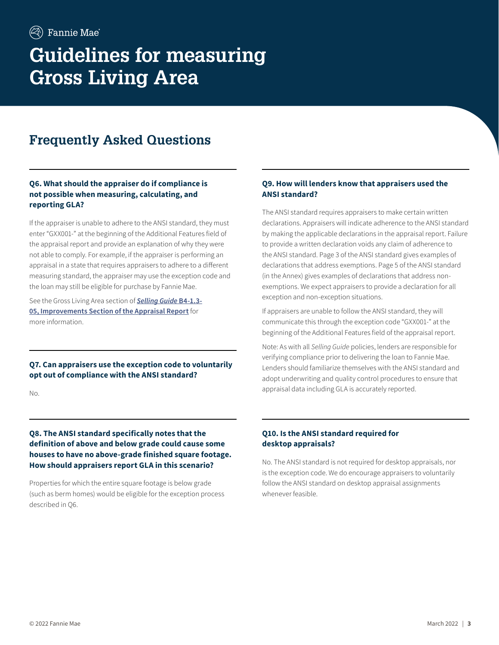# **Frequently Asked Questions**

## **Q6. What should the appraiser do if compliance is not possible when measuring, calculating, and reporting GLA?**

If the appraiser is unable to adhere to the ANSI standard, they must enter "GXX001-" at the beginning of the Additional Features field of the appraisal report and provide an explanation of why they were not able to comply. For example, if the appraiser is performing an appraisal in a state that requires appraisers to adhere to a different measuring standard, the appraiser may use the exception code and the loan may still be eligible for purchase by Fannie Mae.

See the Gross Living Area section of *[Selling Guide](https://selling-guide.fanniemae.com/Selling-Guide/Origination-thru-Closing/Subpart-B4-Underwriting-Property/Chapter-B4-1-Appraisal-Requirements/Section-B4-1-3-Appraisal-Report-Assessment/1032992541/B4-1-3-05-Improvements-Section-of-the-Appraisal-Report-12-15-2021.htm)* **B4-1.3- [05, Improvements Section of the Appraisal Report](https://selling-guide.fanniemae.com/Selling-Guide/Origination-thru-Closing/Subpart-B4-Underwriting-Property/Chapter-B4-1-Appraisal-Requirements/Section-B4-1-3-Appraisal-Report-Assessment/1032992541/B4-1-3-05-Improvements-Section-of-the-Appraisal-Report-12-15-2021.htm)** for more information.

**Q7. Can appraisers use the exception code to voluntarily opt out of compliance with the ANSI standard?**

No.

### **Q8. The ANSI standard specifically notes that the definition of above and below grade could cause some houses to have no above-grade finished square footage. How should appraisers report GLA in this scenario?**

Properties for which the entire square footage is below grade (such as berm homes) would be eligible for the exception process described in Q6.

# **Q9. How will lenders know that appraisers used the ANSI standard?**

The ANSI standard requires appraisers to make certain written declarations. Appraisers will indicate adherence to the ANSI standard by making the applicable declarations in the appraisal report. Failure to provide a written declaration voids any claim of adherence to the ANSI standard. Page 3 of the ANSI standard gives examples of declarations that address exemptions. Page 5 of the ANSI standard (in the Annex) gives examples of declarations that address nonexemptions. We expect appraisers to provide a declaration for all exception and non-exception situations.

If appraisers are unable to follow the ANSI standard, they will communicate this through the exception code "GXX001-" at the beginning of the Additional Features field of the appraisal report.

Note: As with all *Selling Guide* policies, lenders are responsible for verifying compliance prior to delivering the loan to Fannie Mae. Lenders should familiarize themselves with the ANSI standard and adopt underwriting and quality control procedures to ensure that appraisal data including GLA is accurately reported.

#### **Q10. Is the ANSI standard required for desktop appraisals?**

No. The ANSI standard is not required for desktop appraisals, nor is the exception code. We do encourage appraisers to voluntarily follow the ANSI standard on desktop appraisal assignments whenever feasible.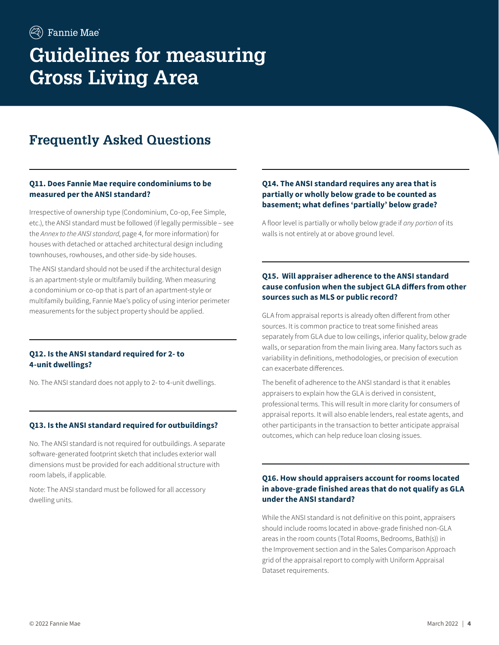# **Frequently Asked Questions**

## **Q11. Does Fannie Mae require condominiums to be measured per the ANSI standard?**

Irrespective of ownership type (Condominium, Co-op, Fee Simple, etc.), the ANSI standard must be followed (if legally permissible – see the *Annex to the ANSI standard*, page 4, for more information) for houses with detached or attached architectural design including townhouses, rowhouses, and other side-by side houses.

The ANSI standard should not be used if the architectural design is an apartment-style or multifamily building. When measuring a condominium or co-op that is part of an apartment-style or multifamily building, Fannie Mae's policy of using interior perimeter measurements for the subject property should be applied.

#### **Q12. Is the ANSI standard required for 2- to 4-unit dwellings?**

No. The ANSI standard does not apply to 2- to 4-unit dwellings.

#### **Q13. Is the ANSI standard required for outbuildings?**

No. The ANSI standard is not required for outbuildings. A separate software-generated footprint sketch that includes exterior wall dimensions must be provided for each additional structure with room labels, if applicable.

Note: The ANSI standard must be followed for all accessory dwelling units.

### **Q14. The ANSI standard requires any area that is partially or wholly below grade to be counted as basement; what defines 'partially' below grade?**

A floor level is partially or wholly below grade if *any portion* of its walls is not entirely at or above ground level.

### **Q15. Will appraiser adherence to the ANSI standard cause confusion when the subject GLA differs from other sources such as MLS or public record?**

GLA from appraisal reports is already often different from other sources. It is common practice to treat some finished areas separately from GLA due to low ceilings, inferior quality, below grade walls, or separation from the main living area. Many factors such as variability in definitions, methodologies, or precision of execution can exacerbate differences.

The benefit of adherence to the ANSI standard is that it enables appraisers to explain how the GLA is derived in consistent, professional terms. This will result in more clarity for consumers of appraisal reports. It will also enable lenders, real estate agents, and other participants in the transaction to better anticipate appraisal outcomes, which can help reduce loan closing issues.

## **Q16. How should appraisers account for rooms located in above-grade finished areas that do not qualify as GLA under the ANSI standard?**

While the ANSI standard is not definitive on this point, appraisers should include rooms located in above-grade finished non-GLA areas in the room counts (Total Rooms, Bedrooms, Bath(s)) in the Improvement section and in the Sales Comparison Approach grid of the appraisal report to comply with Uniform Appraisal Dataset requirements.